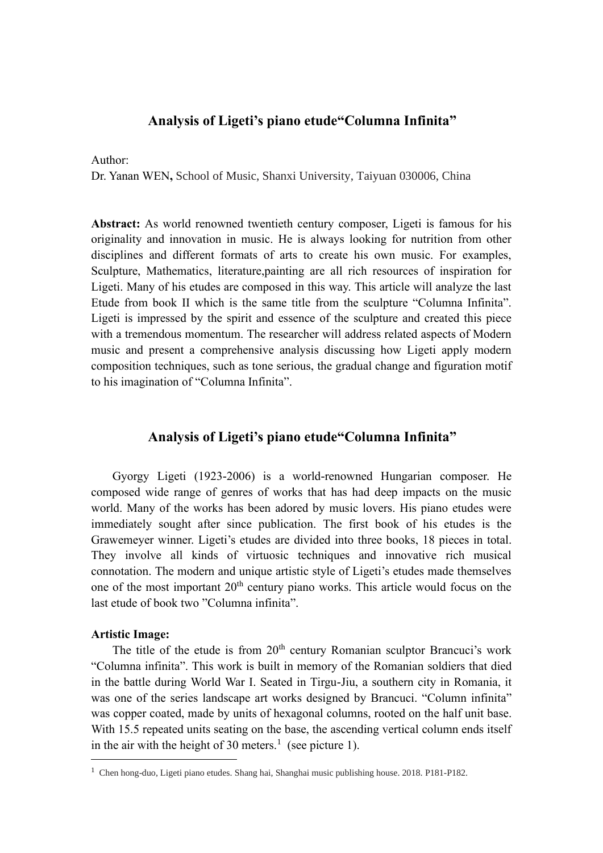# **Analysis of Ligeti's piano etude"Columna Infinita"**

Author:

Dr. Yanan WEN**,** School of Music, Shanxi University, Taiyuan 030006, China

**Abstract:** As world renowned twentieth century composer, Ligeti is famous for his originality and innovation in music. He is always looking for nutrition from other disciplines and different formats of arts to create his own music. For examples, Sculpture, Mathematics, literature,painting are all rich resources of inspiration for Ligeti. Many of his etudes are composed in this way. This article will analyze the last Etude from book II which is the same title from the sculpture "Columna Infinita". Ligeti is impressed by the spirit and essence of the sculpture and created this piece with a tremendous momentum. The researcher will address related aspects of Modern music and present a comprehensive analysis discussing how Ligeti apply modern composition techniques, such as tone serious, the gradual change and figuration motif to his imagination of "Columna Infinita".

### **Analysis of Ligeti's piano etude"Columna Infinita"**

Gyorgy Ligeti (1923-2006) is a world-renowned Hungarian composer. He composed wide range of genres of works that has had deep impacts on the music world. Many of the works has been adored by music lovers. His piano etudes were immediately sought after since publication. The first book of his etudes is the Grawemeyer winner. Ligeti's etudes are divided into three books, 18 pieces in total. They involve all kinds of virtuosic techniques and innovative rich musical connotation. The modern and unique artistic style of Ligeti's etudes made themselves one of the most important 20<sup>th</sup> century piano works. This article would focus on the last etude of book two "Columna infinita".

#### **Artistic Image:**

The title of the etude is from  $20<sup>th</sup>$  century Romanian sculptor Brancuci's work "Columna infinita". This work is built in memory of the Romanian soldiers that died in the battle during World War I. Seated in Tirgu-Jiu, a southern city in Romania, it was one of the series landscape art works designed by Brancuci. "Column infinita" was copper coated, made by units of hexagonal columns, rooted on the half unit base. With 15.5 repeated units seating on the base, the ascending vertical column ends itself in the air with the height of 30 meters.<sup>1</sup> (see picture 1).

<sup>1</sup> Chen hong-duo, Ligeti piano etudes. Shang hai, Shanghai music publishing house. 2018. P181-P182.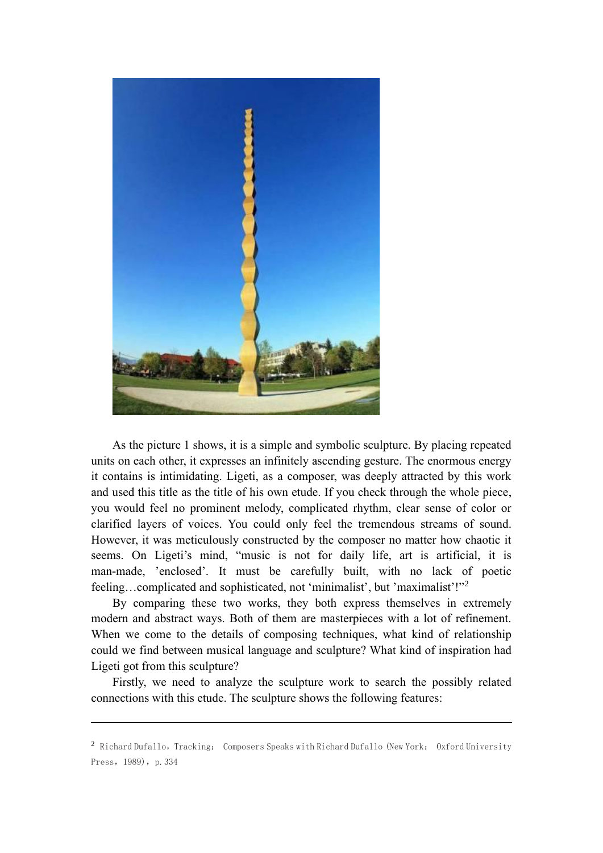

As the picture 1 shows, it is a simple and symbolic sculpture. By placing repeated units on each other, it expresses an infinitely ascending gesture. The enormous energy it contains is intimidating. Ligeti, as a composer, was deeply attracted by this work and used this title as the title of his own etude. If you check through the whole piece, you would feel no prominent melody, complicated rhythm, clear sense of color or clarified layers of voices. You could only feel the tremendous streams of sound. However, it was meticulously constructed by the composer no matter how chaotic it seems. On Ligeti's mind, "music is not for daily life, art is artificial, it is man-made, 'enclosed'. It must be carefully built, with no lack of poetic feeling...complicated and sophisticated, not 'minimalist', but 'maximalist'!"<sup>2</sup>

By comparing these two works, they both express themselves in extremely modern and abstract ways. Both of them are masterpieces with a lot of refinement. When we come to the details of composing techniques, what kind of relationship could we find between musical language and sculpture? What kind of inspiration had Ligeti got from this sculpture?

Firstly, we need to analyze the sculpture work to search the possibly related connections with this etude. The sculpture shows the following features:

<sup>&</sup>lt;sup>2</sup> Richard Dufallo, Tracking: Composers Speaks with Richard Dufallo (New York: Oxford University Press, 1989), p. 334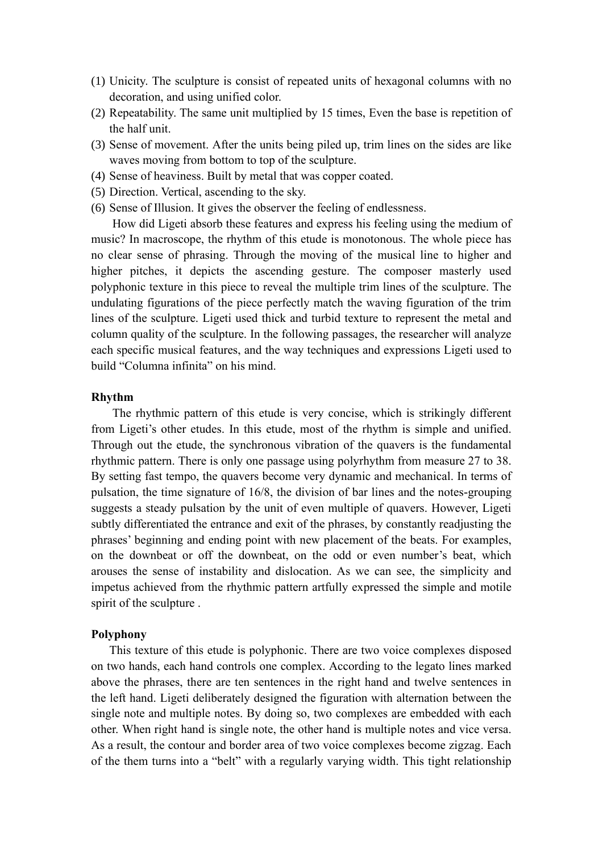- (1) Unicity. The sculpture is consist of repeated units of hexagonal columns with no decoration, and using unified color.
- (2) Repeatability. The same unit multiplied by 15 times, Even the base is repetition of the half unit.
- (3) Sense of movement. After the units being piled up, trim lines on the sides are like waves moving from bottom to top of the sculpture.
- (4) Sense of heaviness. Built by metal that was copper coated.
- (5) Direction. Vertical, ascending to the sky.
- (6) Sense of Illusion. It gives the observer the feeling of endlessness.

How did Ligeti absorb these features and express his feeling using the medium of music? In macroscope, the rhythm of this etude is monotonous. The whole piece has no clear sense of phrasing. Through the moving of the musical line to higher and higher pitches, it depicts the ascending gesture. The composer masterly used polyphonic texture in this piece to reveal the multiple trim lines of the sculpture. The undulating figurations of the piece perfectly match the waving figuration of the trim lines of the sculpture. Ligeti used thick and turbid texture to represent the metal and column quality of the sculpture. In the following passages, the researcher will analyze each specific musical features, and the way techniques and expressions Ligeti used to build "Columna infinita" on his mind.

#### **Rhythm**

The rhythmic pattern of this etude is very concise, which is strikingly different from Ligeti's other etudes. In this etude, most of the rhythm is simple and unified. Through out the etude, the synchronous vibration of the quavers is the fundamental rhythmic pattern. There is only one passage using polyrhythm from measure 27 to 38. By setting fast tempo, the quavers become very dynamic and mechanical. In terms of pulsation, the time signature of 16/8, the division of bar lines and the notes-grouping suggests a steady pulsation by the unit of even multiple of quavers. However, Ligeti subtly differentiated the entrance and exit of the phrases, by constantly readjusting the phrases' beginning and ending point with new placement of the beats. For examples, on the downbeat or off the downbeat, on the odd or even number's beat, which arouses the sense of instability and dislocation. As we can see, the simplicity and impetus achieved from the rhythmic pattern artfully expressed the simple and motile spirit of the sculpture .

#### **Polyphony**

This texture of this etude is polyphonic. There are two voice complexes disposed on two hands, each hand controls one complex. According to the legato lines marked above the phrases, there are ten sentences in the right hand and twelve sentences in the left hand. Ligeti deliberately designed the figuration with alternation between the single note and multiple notes. By doing so, two complexes are embedded with each other. When right hand is single note, the other hand is multiple notes and vice versa. As a result, the contour and border area of two voice complexes become zigzag. Each of the them turns into a "belt" with a regularly varying width. This tight relationship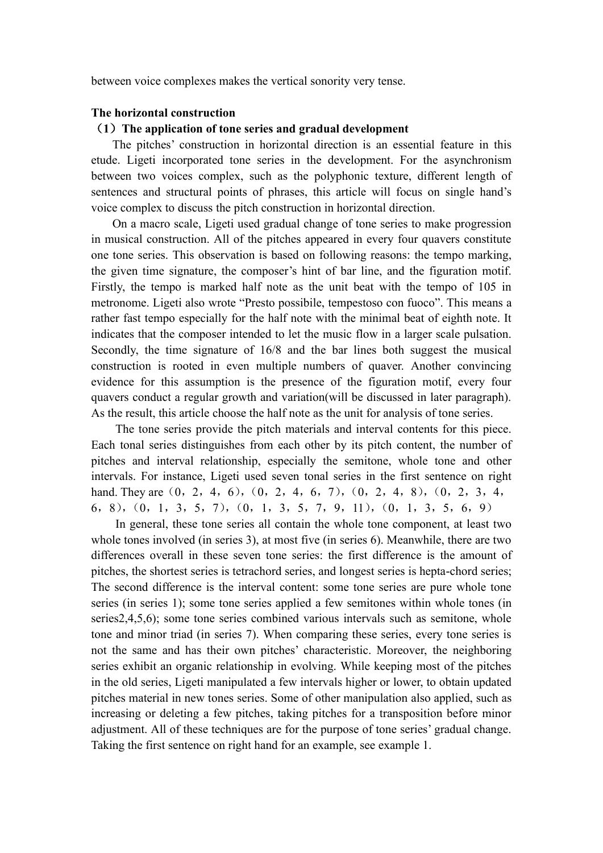between voice complexes makes the vertical sonority very tense.

## **The horizontal construction**

### (**1**)**The application of tone series and gradual development**

The pitches' construction in horizontal direction is an essential feature in this etude. Ligeti incorporated tone series in the development. For the asynchronism between two voices complex, such as the polyphonic texture, different length of sentences and structural points of phrases, this article will focus on single hand's voice complex to discuss the pitch construction in horizontal direction.

On a macro scale, Ligeti used gradual change of tone series to make progression in musical construction. All of the pitches appeared in every four quavers constitute one tone series. This observation is based on following reasons: the tempo marking, the given time signature, the composer's hint of bar line, and the figuration motif. Firstly, the tempo is marked half note as the unit beat with the tempo of 105 in metronome. Ligeti also wrote "Presto possibile, tempestoso con fuoco". This means a rather fast tempo especially for the half note with the minimal beat of eighth note. It indicates that the composer intended to let the music flow in a larger scale pulsation. Secondly, the time signature of 16/8 and the bar lines both suggest the musical construction is rooted in even multiple numbers of quaver. Another convincing evidence for this assumption is the presence of the figuration motif, every four quavers conduct a regular growth and variation(will be discussed in later paragraph). As the result, this article choose the half note as the unit for analysis of tone series.

The tone series provide the pitch materials and interval contents for this piece. Each tonal series distinguishes from each other by its pitch content, the number of pitches and interval relationship, especially the semitone, whole tone and other intervals. For instance, Ligeti used seven tonal series in the first sentence on right hand. They are (0, 2, 4, 6), (0, 2, 4, 6, 7), (0, 2, 4, 8), (0, 2, 3, 4, 6,8),(0,1,3,5,7),(0,1,3,5,7,9,11),(0,1,3,5,6,9)

In general, these tone series all contain the whole tone component, at least two whole tones involved (in series 3), at most five (in series 6). Meanwhile, there are two differences overall in these seven tone series: the first difference is the amount of pitches, the shortest series is tetrachord series, and longest series is hepta-chord series; The second difference is the interval content: some tone series are pure whole tone series (in series 1); some tone series applied a few semitones within whole tones (in series2,4,5,6); some tone series combined various intervals such as semitone, whole tone and minor triad (in series 7). When comparing these series, every tone series is not the same and has their own pitches' characteristic. Moreover, the neighboring series exhibit an organic relationship in evolving. While keeping most of the pitches in the old series, Ligeti manipulated a few intervals higher or lower, to obtain updated pitches material in new tones series. Some of other manipulation also applied, such as increasing or deleting a few pitches, taking pitches for a transposition before minor adjustment. All of these techniques are for the purpose of tone series' gradual change. Taking the first sentence on right hand for an example, see example 1.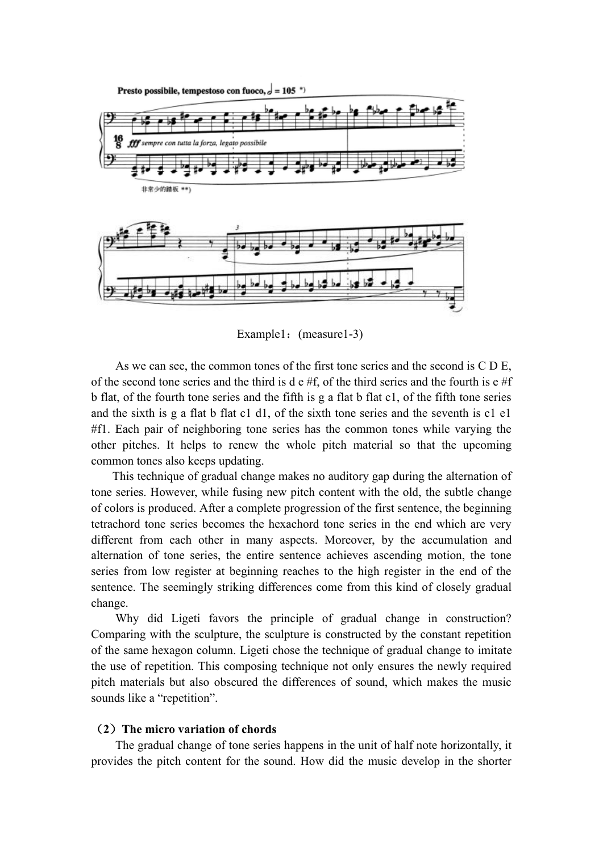

Example1: (measure1-3)

As we can see, the common tones of the first tone series and the second is C D E, of the second tone series and the third is d  $e \# f$ , of the third series and the fourth is  $e \# f$ b flat, of the fourth tone series and the fifth is g a flat b flat c1, of the fifth tone series and the sixth is g a flat b flat c1 d1, of the sixth tone series and the seventh is c1 e1 #f1. Each pair of neighboring tone series has the common tones while varying the other pitches. It helps to renew the whole pitch material so that the upcoming common tones also keeps updating.

This technique of gradual change makes no auditory gap during the alternation of tone series. However, while fusing new pitch content with the old, the subtle change of colors is produced. After a complete progression of the first sentence, the beginning tetrachord tone series becomes the hexachord tone series in the end which are very different from each other in many aspects. Moreover, by the accumulation and alternation of tone series, the entire sentence achieves ascending motion, the tone series from low register at beginning reaches to the high register in the end of the sentence. The seemingly striking differences come from this kind of closely gradual change.

Why did Ligeti favors the principle of gradual change in construction? Comparing with the sculpture, the sculpture is constructed by the constant repetition of the same hexagon column. Ligeti chose the technique of gradual change to imitate the use of repetition. This composing technique not only ensures the newly required pitch materials but also obscured the differences of sound, which makes the music sounds like a "repetition".

# (**2**)**The micro variation of chords**

 The gradual change of tone series happens in the unit of half note horizontally, it provides the pitch content for the sound. How did the music develop in the shorter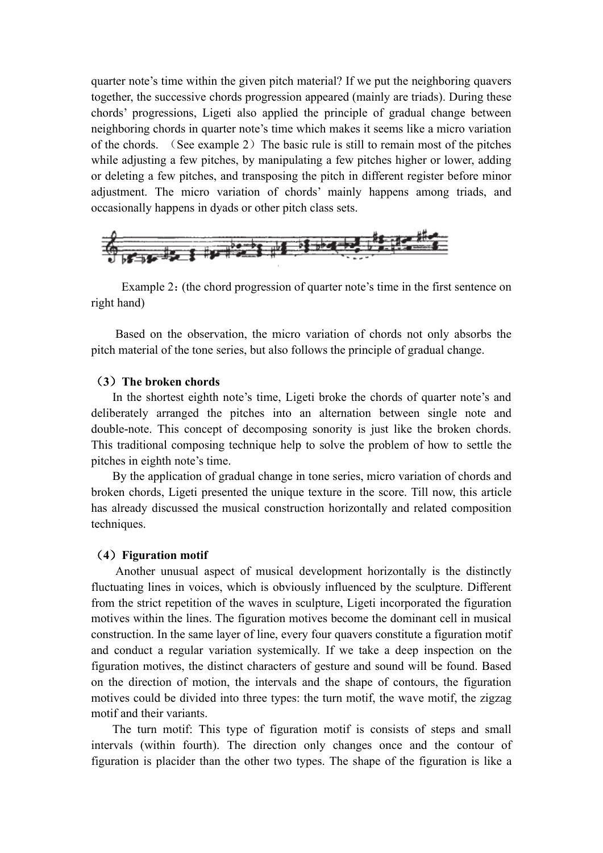quarter note's time within the given pitch material? If we put the neighboring quavers together, the successive chords progression appeared (mainly are triads). During these chords' progressions, Ligeti also applied the principle of gradual change between neighboring chords in quarter note's time which makes it seems like a micro variation of the chords. (See example 2) The basic rule is still to remain most of the pitches while adjusting a few pitches, by manipulating a few pitches higher or lower, adding or deleting a few pitches, and transposing the pitch in different register before minor adjustment. The micro variation of chords' mainly happens among triads, and occasionally happens in dyads or other pitch class sets.



Example 2: (the chord progression of quarter note's time in the first sentence on right hand)

Based on the observation, the micro variation of chords not only absorbs the pitch material of the tone series, but also follows the principle of gradual change.

### (**3**)**The broken chords**

In the shortest eighth note's time, Ligeti broke the chords of quarter note's and deliberately arranged the pitches into an alternation between single note and double-note. This concept of decomposing sonority is just like the broken chords. This traditional composing technique help to solve the problem of how to settle the pitches in eighth note's time.

By the application of gradual change in tone series, micro variation of chords and broken chords, Ligeti presented the unique texture in the score. Till now, this article has already discussed the musical construction horizontally and related composition techniques.

### (**4**)**Figuration motif**

Another unusual aspect of musical development horizontally is the distinctly fluctuating lines in voices, which is obviously influenced by the sculpture. Different from the strict repetition of the waves in sculpture, Ligeti incorporated the figuration motives within the lines. The figuration motives become the dominant cell in musical construction. In the same layer of line, every four quavers constitute a figuration motif and conduct a regular variation systemically. If we take a deep inspection on the figuration motives, the distinct characters of gesture and sound will be found. Based on the direction of motion, the intervals and the shape of contours, the figuration motives could be divided into three types: the turn motif, the wave motif, the zigzag motif and their variants.

The turn motif: This type of figuration motif is consists of steps and small intervals (within fourth). The direction only changes once and the contour of figuration is placider than the other two types. The shape of the figuration is like a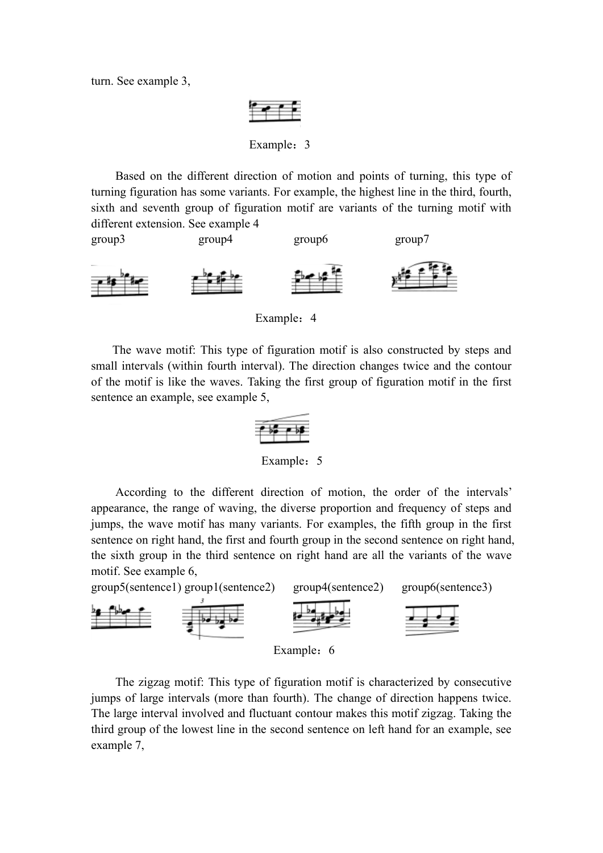turn. See example 3,



Example: 3

Based on the different direction of motion and points of turning, this type of turning figuration has some variants. For example, the highest line in the third, fourth, sixth and seventh group of figuration motif are variants of the turning motif with different extension. See example 4



Example: 4

The wave motif: This type of figuration motif is also constructed by steps and small intervals (within fourth interval). The direction changes twice and the contour of the motif is like the waves. Taking the first group of figuration motif in the first sentence an example, see example 5,



Example: 5

According to the different direction of motion, the order of the intervals' appearance, the range of waving, the diverse proportion and frequency of steps and jumps, the wave motif has many variants. For examples, the fifth group in the first sentence on right hand, the first and fourth group in the second sentence on right hand, the sixth group in the third sentence on right hand are all the variants of the wave motif. See example 6,



The zigzag motif: This type of figuration motif is characterized by consecutive jumps of large intervals (more than fourth). The change of direction happens twice. The large interval involved and fluctuant contour makes this motif zigzag. Taking the third group of the lowest line in the second sentence on left hand for an example, see example 7,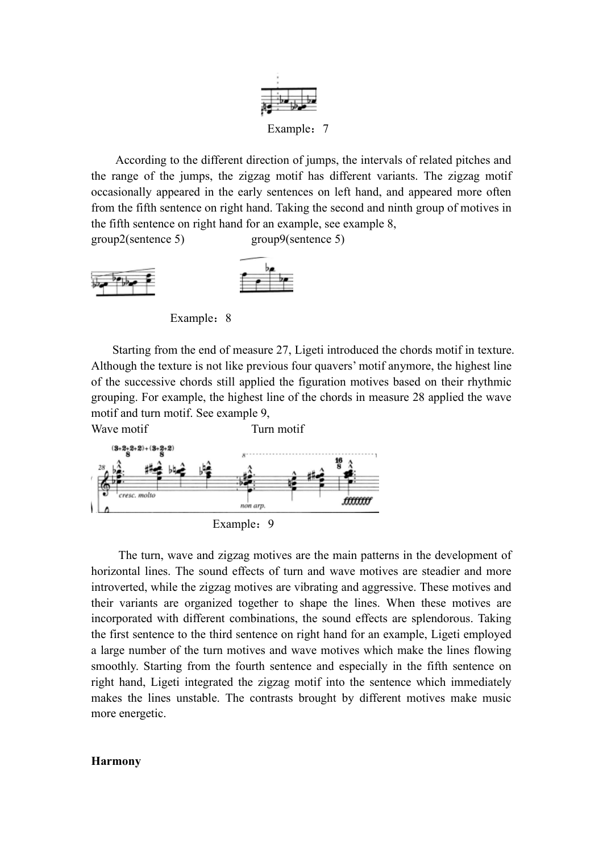

Example: 7

According to the different direction of jumps, the intervals of related pitches and the range of the jumps, the zigzag motif has different variants. The zigzag motif occasionally appeared in the early sentences on left hand, and appeared more often from the fifth sentence on right hand. Taking the second and ninth group of motives in the fifth sentence on right hand for an example, see example 8,

group2(sentence 5) group9(sentence 5)



Example: 8

Starting from the end of measure 27, Ligeti introduced the chords motif in texture. Although the texture is not like previous four quavers' motif anymore, the highest line of the successive chords still applied the figuration motives based on their rhythmic grouping. For example, the highest line of the chords in measure 28 applied the wave motif and turn motif. See example 9,



The turn, wave and zigzag motives are the main patterns in the development of horizontal lines. The sound effects of turn and wave motives are steadier and more introverted, while the zigzag motives are vibrating and aggressive. These motives and their variants are organized together to shape the lines. When these motives are incorporated with different combinations, the sound effects are splendorous. Taking the first sentence to the third sentence on right hand for an example, Ligeti employed a large number of the turn motives and wave motives which make the lines flowing smoothly. Starting from the fourth sentence and especially in the fifth sentence on right hand, Ligeti integrated the zigzag motif into the sentence which immediately makes the lines unstable. The contrasts brought by different motives make music more energetic.

#### **Harmony**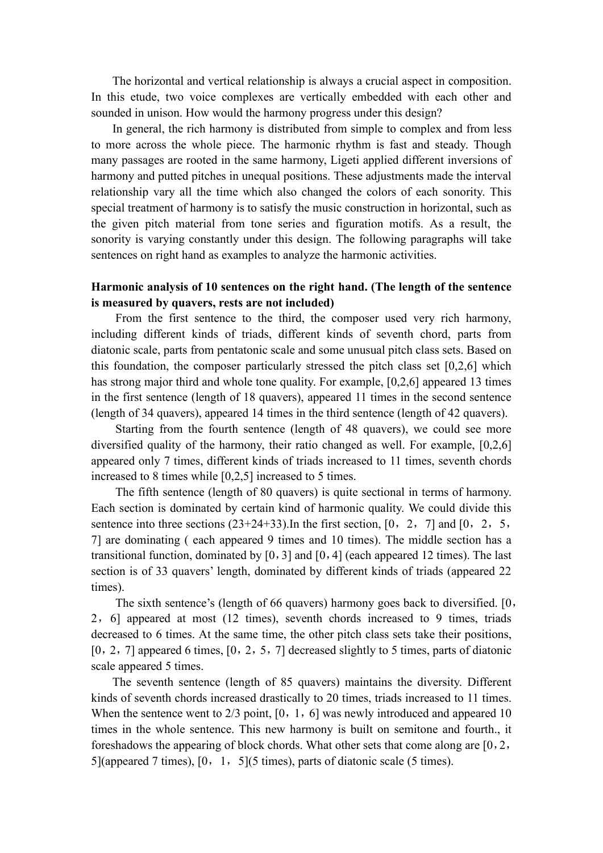The horizontal and vertical relationship is always a crucial aspect in composition. In this etude, two voice complexes are vertically embedded with each other and sounded in unison. How would the harmony progress under this design?

In general, the rich harmony is distributed from simple to complex and from less to more across the whole piece. The harmonic rhythm is fast and steady. Though many passages are rooted in the same harmony, Ligeti applied different inversions of harmony and putted pitches in unequal positions. These adjustments made the interval relationship vary all the time which also changed the colors of each sonority. This special treatment of harmony is to satisfy the music construction in horizontal, such as the given pitch material from tone series and figuration motifs. As a result, the sonority is varying constantly under this design. The following paragraphs will take sentences on right hand as examples to analyze the harmonic activities.

# **Harmonic analysis of 10 sentences on the right hand. (The length of the sentence is measured by quavers, rests are not included)**

 From the first sentence to the third, the composer used very rich harmony, including different kinds of triads, different kinds of seventh chord, parts from diatonic scale, parts from pentatonic scale and some unusual pitch class sets. Based on this foundation, the composer particularly stressed the pitch class set [0,2,6] which has strong major third and whole tone quality. For example, [0,2,6] appeared 13 times in the first sentence (length of 18 quavers), appeared 11 times in the second sentence (length of 34 quavers), appeared 14 times in the third sentence (length of 42 quavers).

Starting from the fourth sentence (length of 48 quavers), we could see more diversified quality of the harmony, their ratio changed as well. For example, [0,2,6] appeared only 7 times, different kinds of triads increased to 11 times, seventh chords increased to 8 times while [0,2,5] increased to 5 times.

 The fifth sentence (length of 80 quavers) is quite sectional in terms of harmony. Each section is dominated by certain kind of harmonic quality. We could divide this sentence into three sections  $(23+24+33)$ . In the first section,  $[0, 2, 7]$  and  $[0, 2, 5, 7]$ 7] are dominating ( each appeared 9 times and 10 times). The middle section has a transitional function, dominated by  $[0, 3]$  and  $[0, 4]$  (each appeared 12 times). The last section is of 33 quavers' length, dominated by different kinds of triads (appeared 22 times).

 The sixth sentence's (length of 66 quavers) harmony goes back to diversified. [0, 2,6] appeared at most (12 times), seventh chords increased to 9 times, triads decreased to 6 times. At the same time, the other pitch class sets take their positions,  $[0, 2, 7]$  appeared 6 times,  $[0, 2, 5, 7]$  decreased slightly to 5 times, parts of diatonic scale appeared 5 times.

The seventh sentence (length of 85 quavers) maintains the diversity. Different kinds of seventh chords increased drastically to 20 times, triads increased to 11 times. When the sentence went to 2/3 point, [0, 1, 6] was newly introduced and appeared 10 times in the whole sentence. This new harmony is built on semitone and fourth., it foreshadows the appearing of block chords. What other sets that come along are  $[0, 2, 1]$ 5](appeared 7 times),  $[0, 1, 5]$ (5 times), parts of diatonic scale (5 times).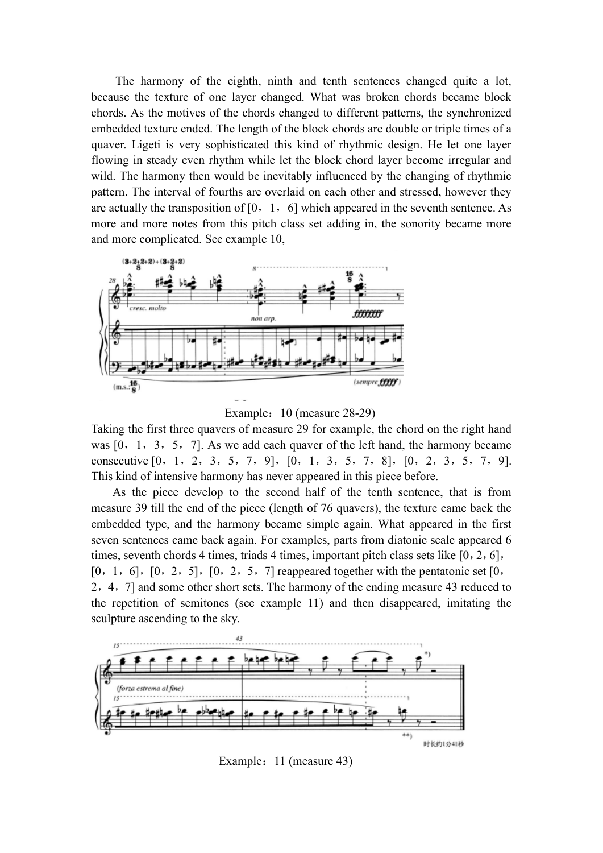The harmony of the eighth, ninth and tenth sentences changed quite a lot, because the texture of one layer changed. What was broken chords became block chords. As the motives of the chords changed to different patterns, the synchronized embedded texture ended. The length of the block chords are double or triple times of a quaver. Ligeti is very sophisticated this kind of rhythmic design. He let one layer flowing in steady even rhythm while let the block chord layer become irregular and wild. The harmony then would be inevitably influenced by the changing of rhythmic pattern. The interval of fourths are overlaid on each other and stressed, however they are actually the transposition of  $[0, 1, 6]$  which appeared in the seventh sentence. As more and more notes from this pitch class set adding in, the sonority became more and more complicated. See example 10,



Example: 10 (measure 28-29)

Taking the first three quavers of measure 29 for example, the chord on the right hand was [0, 1, 3, 5, 7]. As we add each quaver of the left hand, the harmony became consecutive [0,1,2,3,5,7,9],[0,1,3,5,7,8],[0,2,3,5,7,9]. This kind of intensive harmony has never appeared in this piece before.

As the piece develop to the second half of the tenth sentence, that is from measure 39 till the end of the piece (length of 76 quavers), the texture came back the embedded type, and the harmony became simple again. What appeared in the first seven sentences came back again. For examples, parts from diatonic scale appeared 6 times, seventh chords 4 times, triads 4 times, important pitch class sets like [0, 2, 6],  $[0, 1, 6]$ ,  $[0, 2, 5]$ ,  $[0, 2, 5, 7]$  reappeared together with the pentatonic set  $[0, 1, 6]$ 2,4,7] and some other short sets. The harmony of the ending measure 43 reduced to the repetition of semitones (see example 11) and then disappeared, imitating the sculpture ascending to the sky.



Example: 11 (measure 43)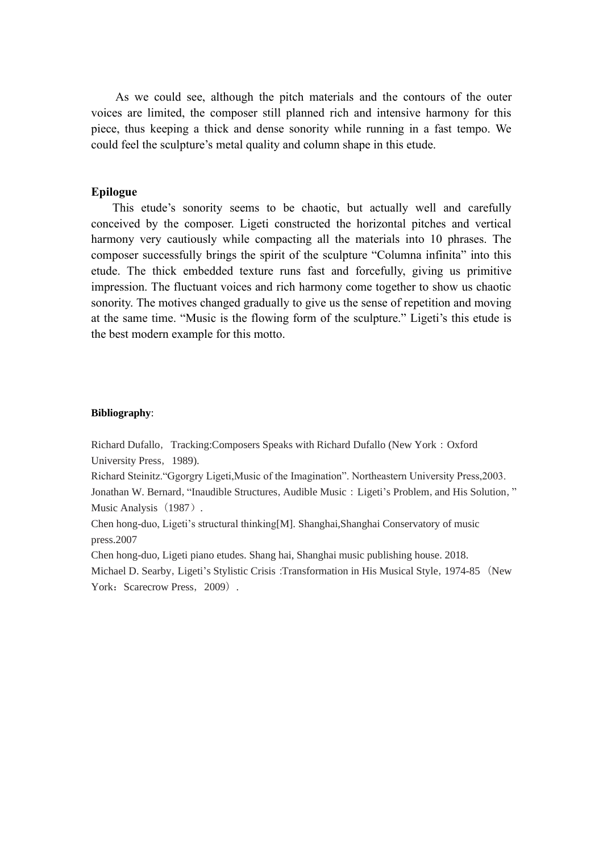As we could see, although the pitch materials and the contours of the outer voices are limited, the composer still planned rich and intensive harmony for this piece, thus keeping a thick and dense sonority while running in a fast tempo. We could feel the sculpture's metal quality and column shape in this etude.

#### **Epilogue**

This etude's sonority seems to be chaotic, but actually well and carefully conceived by the composer. Ligeti constructed the horizontal pitches and vertical harmony very cautiously while compacting all the materials into 10 phrases. The composer successfully brings the spirit of the sculpture "Columna infinita" into this etude. The thick embedded texture runs fast and forcefully, giving us primitive impression. The fluctuant voices and rich harmony come together to show us chaotic sonority. The motives changed gradually to give us the sense of repetition and moving at the same time. "Music is the flowing form of the sculpture." Ligeti's this etude is the best modern example for this motto.

#### **Bibliography**:

Richard Dufallo, Tracking:Composers Speaks with Richard Dufallo (New York: Oxford University Press, 1989).

Richard Steinitz."Ggorgry Ligeti,Music of the Imagination". Northeastern University Press,2003. Jonathan W. Bernard, "Inaudible Structures, Audible Music: Ligeti's Problem, and His Solution," Music Analysis (1987).

Chen hong-duo, Ligeti's structural thinking[M]. Shanghai,Shanghai Conservatory of music press.2007

Chen hong-duo, Ligeti piano etudes. Shang hai, Shanghai music publishing house. 2018.

Michael D. Searby, Ligeti's Stylistic Crisis: Transformation in His Musical Style, 1974-85 (New York: Scarecrow Press, 2009).